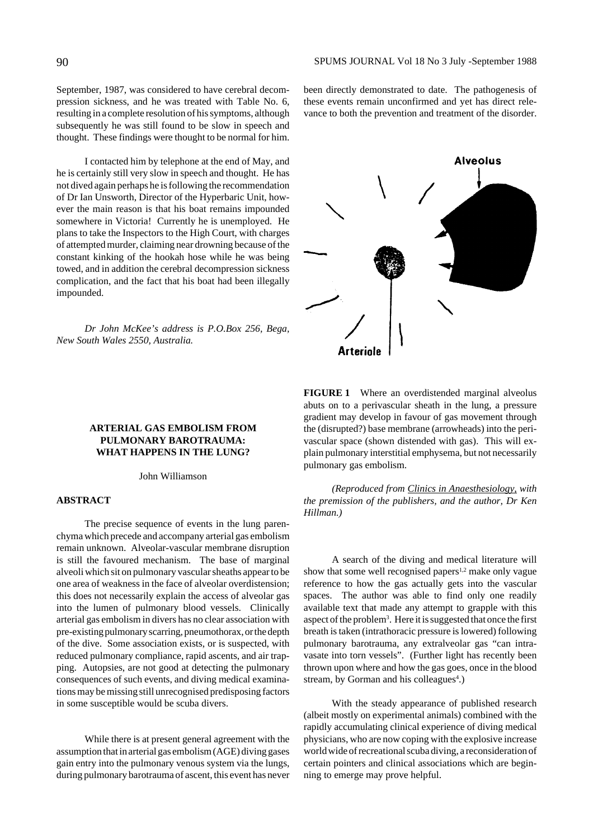September, 1987, was considered to have cerebral decompression sickness, and he was treated with Table No. 6, resulting in a complete resolution of his symptoms, although subsequently he was still found to be slow in speech and thought. These findings were thought to be normal for him.

I contacted him by telephone at the end of May, and he is certainly still very slow in speech and thought. He has not dived again perhaps he is following the recommendation of Dr Ian Unsworth, Director of the Hyperbaric Unit, however the main reason is that his boat remains impounded somewhere in Victoria! Currently he is unemployed. He plans to take the Inspectors to the High Court, with charges of attempted murder, claiming near drowning because of the constant kinking of the hookah hose while he was being towed, and in addition the cerebral decompression sickness complication, and the fact that his boat had been illegally impounded.

*Dr John McKee's address is P.O.Box 256, Bega, New South Wales 2550, Australia.*

been directly demonstrated to date. The pathogenesis of these events remain unconfirmed and yet has direct relevance to both the prevention and treatment of the disorder.



**FIGURE 1** Where an overdistended marginal alveolus abuts on to a perivascular sheath in the lung, a pressure gradient may develop in favour of gas movement through the (disrupted?) base membrane (arrowheads) into the perivascular space (shown distended with gas). This will explain pulmonary interstitial emphysema, but not necessarily pulmonary gas embolism.

*(Reproduced from Clinics in Anaesthesiology, with the premission of the publishers, and the author, Dr Ken Hillman.)*

A search of the diving and medical literature will show that some well recognised papers<sup>1,2</sup> make only vague reference to how the gas actually gets into the vascular spaces. The author was able to find only one readily available text that made any attempt to grapple with this aspect of the problem<sup>3</sup>. Here it is suggested that once the first breath is taken (intrathoracic pressure is lowered) following pulmonary barotrauma, any extralveolar gas "can intravasate into torn vessels". (Further light has recently been thrown upon where and how the gas goes, once in the blood stream, by Gorman and his colleagues<sup>4</sup>.)

With the steady appearance of published research (albeit mostly on experimental animals) combined with the rapidly accumulating clinical experience of diving medical physicians, who are now coping with the explosive increase world wide of recreational scuba diving, a reconsideration of certain pointers and clinical associations which are beginning to emerge may prove helpful.

## **ARTERIAL GAS EMBOLISM FROM PULMONARY BAROTRAUMA: WHAT HAPPENS IN THE LUNG?**

John Williamson

#### **ABSTRACT**

The precise sequence of events in the lung parenchyma which precede and accompany arterial gas embolism remain unknown. Alveolar-vascular membrane disruption is still the favoured mechanism. The base of marginal alveoli which sit on pulmonary vascular sheaths appear to be one area of weakness in the face of alveolar overdistension; this does not necessarily explain the access of alveolar gas into the lumen of pulmonary blood vessels. Clinically arterial gas embolism in divers has no clear association with pre-existing pulmonary scarring, pneumothorax, or the depth of the dive. Some association exists, or is suspected, with reduced pulmonary compliance, rapid ascents, and air trapping. Autopsies, are not good at detecting the pulmonary consequences of such events, and diving medical examinations may be missing still unrecognised predisposing factors in some susceptible would be scuba divers.

While there is at present general agreement with the assumption that in arterial gas embolism (AGE) diving gases gain entry into the pulmonary venous system via the lungs, during pulmonary barotrauma of ascent, this event has never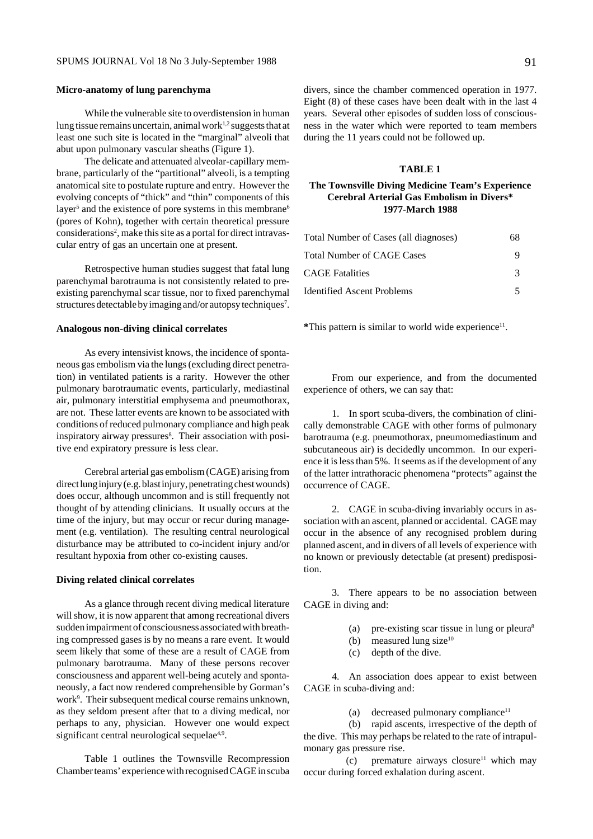#### **Micro-anatomy of lung parenchyma**

While the vulnerable site to overdistension in human lung tissue remains uncertain, animal work<sup>1,2</sup> suggests that at least one such site is located in the "marginal" alveoli that abut upon pulmonary vascular sheaths (Figure 1).

The delicate and attenuated alveolar-capillary membrane, particularly of the "partitional" alveoli, is a tempting anatomical site to postulate rupture and entry. However the evolving concepts of "thick" and "thin" components of this layer<sup>5</sup> and the existence of pore systems in this membrane<sup>6</sup> (pores of Kohn), together with certain theoretical pressure considerations<sup>2</sup>, make this site as a portal for direct intravascular entry of gas an uncertain one at present.

Retrospective human studies suggest that fatal lung parenchymal barotrauma is not consistently related to preexisting parenchymal scar tissue, nor to fixed parenchymal structures detectable by imaging and/or autopsy techniques<sup>7</sup>.

#### **Analogous non-diving clinical correlates**

As every intensivist knows, the incidence of spontaneous gas embolism via the lungs (excluding direct penetration) in ventilated patients is a rarity. However the other pulmonary barotraumatic events, particularly, mediastinal air, pulmonary interstitial emphysema and pneumothorax, are not. These latter events are known to be associated with conditions of reduced pulmonary compliance and high peak inspiratory airway pressures<sup>8</sup>. Their association with positive end expiratory pressure is less clear.

Cerebral arterial gas embolism (CAGE) arising from direct lung injury (e.g. blast injury, penetrating chest wounds) does occur, although uncommon and is still frequently not thought of by attending clinicians. It usually occurs at the time of the injury, but may occur or recur during management (e.g. ventilation). The resulting central neurological disturbance may be attributed to co-incident injury and/or resultant hypoxia from other co-existing causes.

#### **Diving related clinical correlates**

As a glance through recent diving medical literature will show, it is now apparent that among recreational divers sudden impairment of consciousness associated with breathing compressed gases is by no means a rare event. It would seem likely that some of these are a result of CAGE from pulmonary barotrauma. Many of these persons recover consciousness and apparent well-being acutely and spontaneously, a fact now rendered comprehensible by Gorman's work<sup>9</sup>. Their subsequent medical course remains unknown, as they seldom present after that to a diving medical, nor perhaps to any, physician. However one would expect significant central neurological sequelae<sup>4,9</sup>.

Table 1 outlines the Townsville Recompression Chamber teams' experience with recognised CAGE in scuba divers, since the chamber commenced operation in 1977. Eight (8) of these cases have been dealt with in the last 4 years. Several other episodes of sudden loss of consciousness in the water which were reported to team members during the 11 years could not be followed up.

## **TABLE 1**

## **The Townsville Diving Medicine Team's Experience Cerebral Arterial Gas Embolism in Divers\* 1977-March 1988**

| Total Number of Cases (all diagnoses) | 68 |
|---------------------------------------|----|
| Total Number of CAGE Cases            |    |
| CAGE Fatalities                       | 3  |
| Identified Ascent Problems            |    |

**\***This pattern is similar to world wide experience11.

From our experience, and from the documented experience of others, we can say that:

1. In sport scuba-divers, the combination of clinically demonstrable CAGE with other forms of pulmonary barotrauma (e.g. pneumothorax, pneumomediastinum and subcutaneous air) is decidedly uncommon. In our experience it is less than 5%. It seems as if the development of any of the latter intrathoracic phenomena "protects" against the occurrence of CAGE.

2. CAGE in scuba-diving invariably occurs in association with an ascent, planned or accidental. CAGE may occur in the absence of any recognised problem during planned ascent, and in divers of all levels of experience with no known or previously detectable (at present) predisposition.

3. There appears to be no association between CAGE in diving and:

- (a) pre-existing scar tissue in lung or pleura8
- (b) measured lung size<sup>10</sup>
- (c) depth of the dive.

4. An association does appear to exist between CAGE in scuba-diving and:

(a) decreased pulmonary compliance<sup>11</sup>

(b) rapid ascents, irrespective of the depth of the dive. This may perhaps be related to the rate of intrapulmonary gas pressure rise.

(c) premature airways closure<sup>11</sup> which may occur during forced exhalation during ascent.